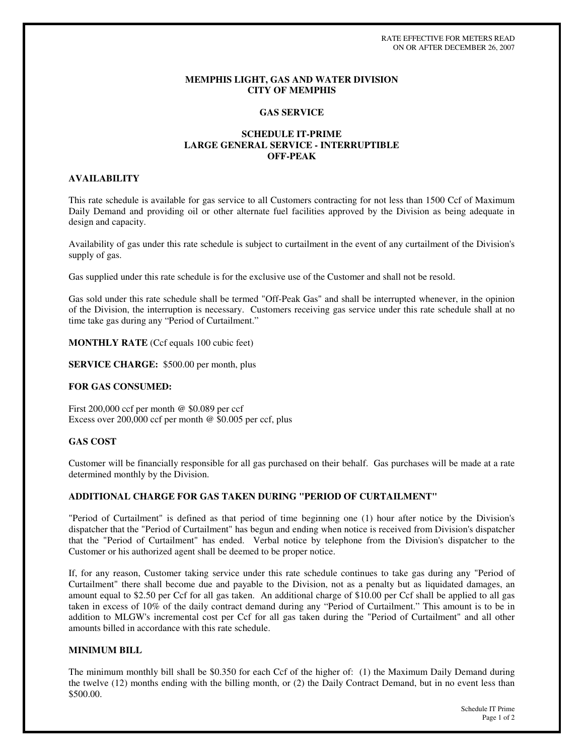RATE EFFECTIVE FOR METERS READ ON OR AFTER DECEMBER 26, 2007

#### **MEMPHIS LIGHT, GAS AND WATER DIVISION CITY OF MEMPHIS**

### **GAS SERVICE**

## **SCHEDULE IT-PRIME LARGE GENERAL SERVICE - INTERRUPTIBLE OFF-PEAK**

# **AVAILABILITY**

This rate schedule is available for gas service to all Customers contracting for not less than 1500 Ccf of Maximum Daily Demand and providing oil or other alternate fuel facilities approved by the Division as being adequate in design and capacity.

Availability of gas under this rate schedule is subject to curtailment in the event of any curtailment of the Division's supply of gas.

Gas supplied under this rate schedule is for the exclusive use of the Customer and shall not be resold.

Gas sold under this rate schedule shall be termed "Off-Peak Gas" and shall be interrupted whenever, in the opinion of the Division, the interruption is necessary. Customers receiving gas service under this rate schedule shall at no time take gas during any "Period of Curtailment."

**MONTHLY RATE** (Ccf equals 100 cubic feet)

**SERVICE CHARGE:** \$500.00 per month, plus

### **FOR GAS CONSUMED:**

First 200,000 ccf per month @ \$0.089 per ccf Excess over 200,000 ccf per month @ \$0.005 per ccf, plus

## **GAS COST**

Customer will be financially responsible for all gas purchased on their behalf. Gas purchases will be made at a rate determined monthly by the Division.

### **ADDITIONAL CHARGE FOR GAS TAKEN DURING "PERIOD OF CURTAILMENT"**

"Period of Curtailment" is defined as that period of time beginning one (1) hour after notice by the Division's dispatcher that the "Period of Curtailment" has begun and ending when notice is received from Division's dispatcher that the "Period of Curtailment" has ended. Verbal notice by telephone from the Division's dispatcher to the Customer or his authorized agent shall be deemed to be proper notice.

If, for any reason, Customer taking service under this rate schedule continues to take gas during any "Period of Curtailment" there shall become due and payable to the Division, not as a penalty but as liquidated damages, an amount equal to \$2.50 per Ccf for all gas taken. An additional charge of \$10.00 per Ccf shall be applied to all gas taken in excess of 10% of the daily contract demand during any "Period of Curtailment." This amount is to be in addition to MLGW's incremental cost per Ccf for all gas taken during the "Period of Curtailment" and all other amounts billed in accordance with this rate schedule.

## **MINIMUM BILL**

The minimum monthly bill shall be \$0.350 for each Ccf of the higher of: (1) the Maximum Daily Demand during the twelve (12) months ending with the billing month, or (2) the Daily Contract Demand, but in no event less than \$500.00.